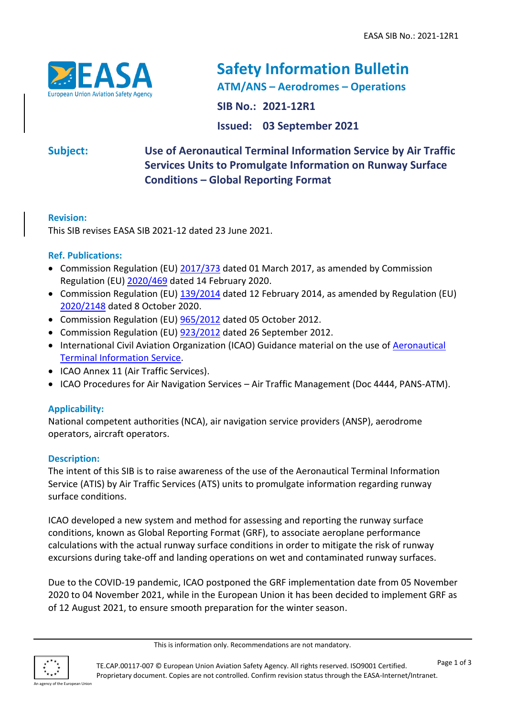

# **Safety Information Bulletin ATM/ANS – Aerodromes – Operations SIB No.: 2021-12R1 Issued: 03 September 2021**

# **Subject: Use of Aeronautical Terminal Information Service by Air Traffic Services Units to Promulgate Information on Runway Surface Conditions – Global Reporting Format**

# **Revision:**

This SIB revises EASA SIB 2021-12 dated 23 June 2021.

# **Ref. Publications:**

- Commission Regulation (EU) [2017/373](https://eur-lex.europa.eu/legal-content/EN/ALL/?uri=CELEX%3A32017R0373) dated 01 March 2017, as amended by Commission Regulation (EU) [2020/469](https://eur-lex.europa.eu/legal-content/EN/TXT/?uri=CELEX%3A32020R0469) dated 14 February 2020.
- Commission Regulation (EU)  $\frac{139}{2014}$  dated 12 February 2014, as amended by Regulation (EU) [2020/2148](https://eur-lex.europa.eu/legal-content/EN/TXT/?uri=CELEX%3A32020R2148) dated 8 October 2020.
- Commission Regulation (EU)  $\frac{965}{2012}$  dated 05 October 2012.
- Commission Regulation (EU) [923/2012](https://eur-lex.europa.eu/legal-content/EN/ALL/?uri=CELEX%3A32012R0923) dated 26 September 2012.
- International Civil Aviation Organization (ICAO) Guidance material on the use of [Aeronautical](https://www.icao.int/safety/SiteAssets/Pages/GRF/ATIS%20Flyer_V2.0.pdf)  [Terminal Information Service.](https://www.icao.int/safety/SiteAssets/Pages/GRF/ATIS%20Flyer_V2.0.pdf)
- ICAO Annex 11 (Air Traffic Services).
- ICAO Procedures for Air Navigation Services Air Traffic Management (Doc 4444, PANS-ATM).

# **Applicability:**

National competent authorities (NCA), air navigation service providers (ANSP), aerodrome operators, aircraft operators.

# **Description:**

The intent of this SIB is to raise awareness of the use of the Aeronautical Terminal Information Service (ATIS) by Air Traffic Services (ATS) units to promulgate information regarding runway surface conditions.

ICAO developed a new system and method for assessing and reporting the runway surface conditions, known as Global Reporting Format (GRF), to associate aeroplane performance calculations with the actual runway surface conditions in order to mitigate the risk of runway excursions during take-off and landing operations on wet and contaminated runway surfaces.

Due to the COVID-19 pandemic, ICAO postponed the GRF implementation date from 05 November 2020 to 04 November 2021, while in the European Union it has been decided to implement GRF as of 12 August 2021, to ensure smooth preparation for the winter season.



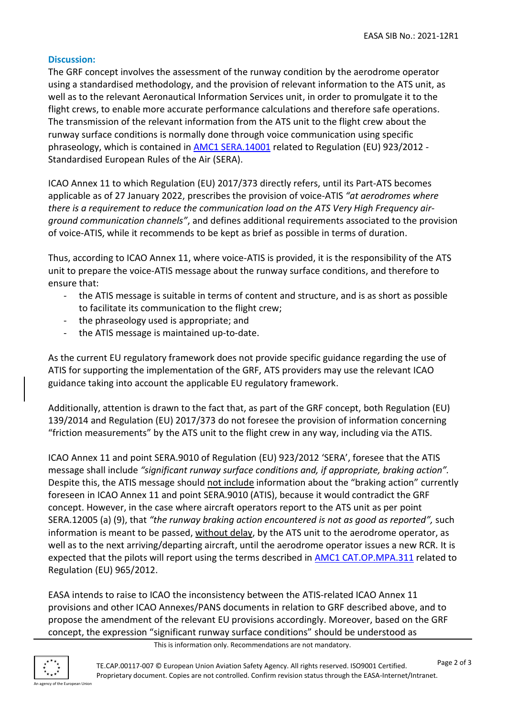#### **Discussion:**

The GRF concept involves the assessment of the runway condition by the aerodrome operator using a standardised methodology, and the provision of relevant information to the ATS unit, as well as to the relevant Aeronautical Information Services unit, in order to promulgate it to the flight crews, to enable more accurate performance calculations and therefore safe operations. The transmission of the relevant information from the ATS unit to the flight crew about the runway surface conditions is normally done through voice communication using specific phraseology, which is contained in [AMC1 SERA.14001](https://www.easa.europa.eu/sites/default/files/dfu/amc_gm_to_the_rules_of_the_air_-_issue_1_amendment_2.pdf) related to Regulation (EU) 923/2012 - Standardised European Rules of the Air (SERA).

ICAO Annex 11 to which Regulation (EU) 2017/373 directly refers, until its Part-ATS becomes applicable as of 27 January 2022, prescribes the provision of voice-ATIS *"at aerodromes where there is a requirement to reduce the communication load on the ATS Very High Frequency airground communication channels"*, and defines additional requirements associated to the provision of voice-ATIS, while it recommends to be kept as brief as possible in terms of duration.

Thus, according to ICAO Annex 11, where voice-ATIS is provided, it is the responsibility of the ATS unit to prepare the voice-ATIS message about the runway surface conditions, and therefore to ensure that:

- the ATIS message is suitable in terms of content and structure, and is as short as possible to facilitate its communication to the flight crew;
- the phraseology used is appropriate; and
- the ATIS message is maintained up-to-date.

As the current EU regulatory framework does not provide specific guidance regarding the use of ATIS for supporting the implementation of the GRF, ATS providers may use the relevant ICAO guidance taking into account the applicable EU regulatory framework.

Additionally, attention is drawn to the fact that, as part of the GRF concept, both Regulation (EU) 139/2014 and Regulation (EU) 2017/373 do not foresee the provision of information concerning "friction measurements" by the ATS unit to the flight crew in any way, including via the ATIS.

ICAO Annex 11 and point SERA.9010 of Regulation (EU) 923/2012 'SERA', foresee that the ATIS message shall include *"significant runway surface conditions and, if appropriate, braking action".* Despite this, the ATIS message should not include information about the "braking action" currently foreseen in ICAO Annex 11 and point SERA.9010 (ATIS), because it would contradict the GRF concept. However, in the case where aircraft operators report to the ATS unit as per point SERA.12005 (a) (9), that *"the runway braking action encountered is not as good as reported",* such information is meant to be passed, without delay, by the ATS unit to the aerodrome operator, as well as to the next arriving/departing aircraft, until the aerodrome operator issues a new RCR. It is expected that the pilots will report using the terms described in **AMC1 CAT.OP.MPA.311** related to Regulation (EU) 965/2012.

EASA intends to raise to ICAO the inconsistency between the ATIS-related ICAO Annex 11 provisions and other ICAO Annexes/PANS documents in relation to GRF described above, and to propose the amendment of the relevant EU provisions accordingly. Moreover, based on the GRF concept, the expression "significant runway surface conditions" should be understood as

This is information only. Recommendations are not mandatory.